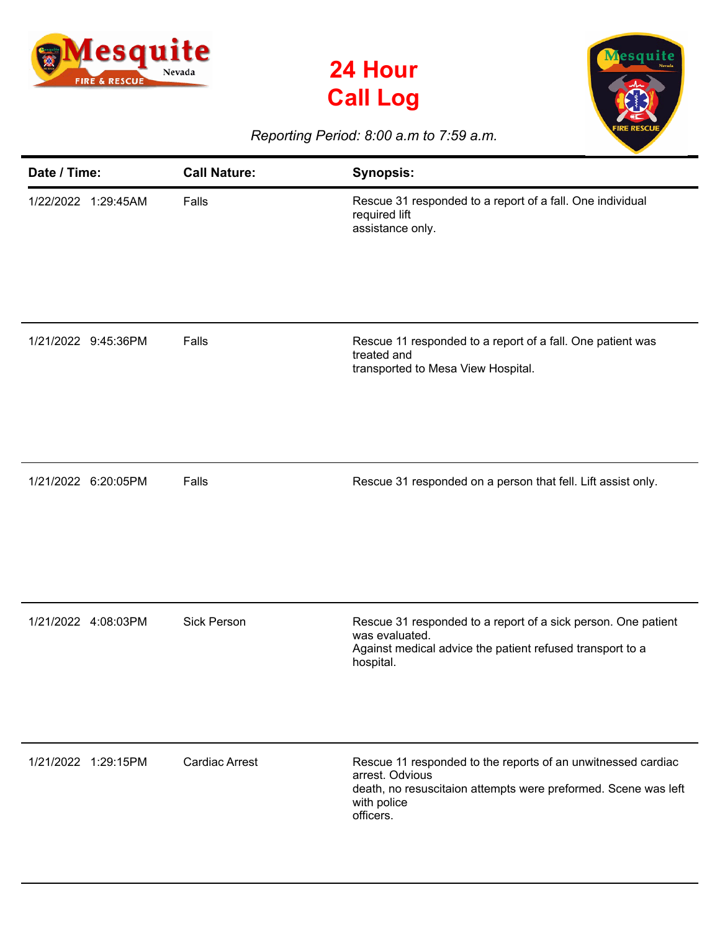





## *Reporting Period: 8:00 a.m to 7:59 a.m.*

| Date / Time:        | <b>Call Nature:</b>   | <b>Synopsis:</b>                                                                                                                                                              |
|---------------------|-----------------------|-------------------------------------------------------------------------------------------------------------------------------------------------------------------------------|
| 1/22/2022 1:29:45AM | Falls                 | Rescue 31 responded to a report of a fall. One individual<br>required lift<br>assistance only.                                                                                |
| 1/21/2022 9:45:36PM | Falls                 | Rescue 11 responded to a report of a fall. One patient was<br>treated and<br>transported to Mesa View Hospital.                                                               |
| 1/21/2022 6:20:05PM | Falls                 | Rescue 31 responded on a person that fell. Lift assist only.                                                                                                                  |
| 1/21/2022 4:08:03PM | <b>Sick Person</b>    | Rescue 31 responded to a report of a sick person. One patient<br>was evaluated.<br>Against medical advice the patient refused transport to a<br>hospital.                     |
| 1/21/2022 1:29:15PM | <b>Cardiac Arrest</b> | Rescue 11 responded to the reports of an unwitnessed cardiac<br>arrest. Odvious<br>death, no resuscitaion attempts were preformed. Scene was left<br>with police<br>officers. |